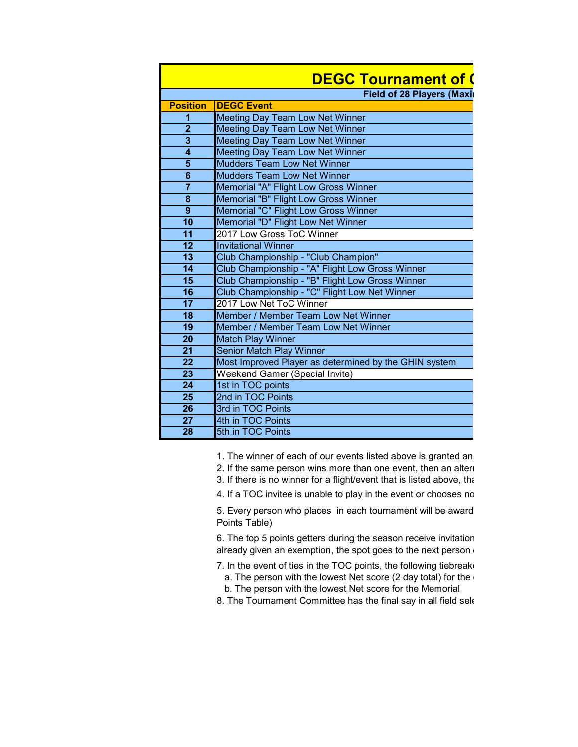| <b>DEGC Tournament of (</b>      |                                                       |  |  |
|----------------------------------|-------------------------------------------------------|--|--|
| <b>Field of 28 Players (Maxi</b> |                                                       |  |  |
| <b>Position</b>                  | <b>DEGC Event</b>                                     |  |  |
| 1                                | Meeting Day Team Low Net Winner                       |  |  |
| $\overline{2}$                   | Meeting Day Team Low Net Winner                       |  |  |
| $\overline{\mathbf{3}}$          | <b>Meeting Day Team Low Net Winner</b>                |  |  |
| $\overline{\mathbf{4}}$          | Meeting Day Team Low Net Winner                       |  |  |
| $\overline{\mathbf{5}}$          | <b>Mudders Team Low Net Winner</b>                    |  |  |
| $\overline{6}$                   | <b>Mudders Team Low Net Winner</b>                    |  |  |
| $\overline{7}$                   | Memorial "A" Flight Low Gross Winner                  |  |  |
| $\pmb{8}$                        | Memorial "B" Flight Low Gross Winner                  |  |  |
| $\overline{9}$                   | Memorial "C" Flight Low Gross Winner                  |  |  |
| $\overline{10}$                  | Memorial "D" Flight Low Net Winner                    |  |  |
| 11                               | 2017 Low Gross ToC Winner                             |  |  |
| 12                               | <b>Invitational Winner</b>                            |  |  |
| 13                               | Club Championship - "Club Champion"                   |  |  |
| $\overline{14}$                  | Club Championship - "A" Flight Low Gross Winner       |  |  |
| 15                               | Club Championship - "B" Flight Low Gross Winner       |  |  |
| 16                               | Club Championship - "C" Flight Low Net Winner         |  |  |
| 17                               | 2017 Low Net ToC Winner                               |  |  |
| 18                               | Member / Member Team Low Net Winner                   |  |  |
| 19                               | Member / Member Team Low Net Winner                   |  |  |
| $\overline{20}$                  | <b>Match Play Winner</b>                              |  |  |
| $\overline{21}$                  | <b>Senior Match Play Winner</b>                       |  |  |
| $\overline{22}$                  | Most Improved Player as determined by the GHIN system |  |  |
| $\overline{23}$                  | Weekend Gamer (Special Invite)                        |  |  |
| $\overline{24}$                  | 1st in TOC points                                     |  |  |
| 25                               | 2nd in TOC Points                                     |  |  |
| $\overline{26}$                  | 3rd in TOC Points                                     |  |  |
| 27                               | 4th in TOC Points                                     |  |  |
| 28                               | 5th in TOC Points                                     |  |  |

1. The winner of each of our events listed above is granted an

- 2. If the same person wins more than one event, then an alternate
- 3. If there is no winner for a flight/event that is listed above, that

4. If a TOC invitee is unable to play in the event or chooses no

5. Every person who places in each tournament will be award Points Table)

6. The top 5 points getters during the season receive invitation already given an exemption, the spot goes to the next person

- 7. In the event of ties in the TOC points, the following tiebreaker
- a. The person with the lowest Net score (2 day total) for the b. The person with the lowest Net score for the Memorial
- 8. The Tournament Committee has the final say in all field sele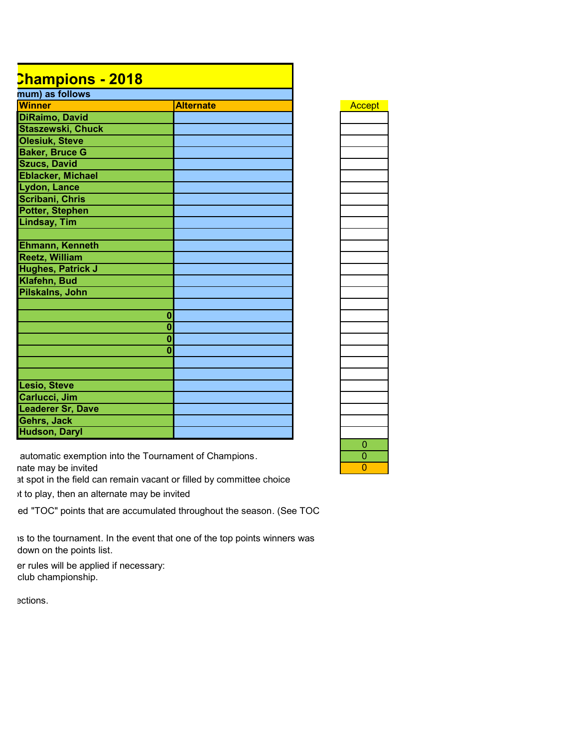## **DEGC Tournament of Champions - 2018**

| mum) as follows          |                  |        |
|--------------------------|------------------|--------|
| <b>Winner</b>            | <b>Alternate</b> | Accept |
| <b>DiRaimo, David</b>    |                  |        |
| <b>Staszewski, Chuck</b> |                  |        |
| <b>Olesiuk, Steve</b>    |                  |        |
| <b>Baker, Bruce G</b>    |                  |        |
| <b>Szucs, David</b>      |                  |        |
| <b>Eblacker, Michael</b> |                  |        |
| Lydon, Lance             |                  |        |
| Scribani, Chris          |                  |        |
| <b>Potter, Stephen</b>   |                  |        |
| <b>Lindsay, Tim</b>      |                  |        |
|                          |                  |        |
| Ehmann, Kenneth          |                  |        |
| <b>Reetz, William</b>    |                  |        |
| <b>Hughes, Patrick J</b> |                  |        |
| Klafehn, Bud             |                  |        |
| Pilskalns, John          |                  |        |
|                          |                  |        |
|                          | $\bf{0}$         |        |
|                          | $\bf{0}$         |        |
|                          | $\bf{0}$         |        |
|                          | $\mathbf{0}$     |        |
|                          |                  |        |
|                          |                  |        |
| Lesio, Steve             |                  |        |
| Carlucci, Jim            |                  |        |
| <b>Leaderer Sr, Dave</b> |                  |        |
| Gehrs, Jack              |                  |        |
| <b>Hudson, Daryl</b>     |                  |        |

| <mark>ccept</mark> |
|--------------------|
|                    |
|                    |
|                    |
|                    |
|                    |
|                    |
|                    |
|                    |
|                    |
|                    |
|                    |
|                    |
|                    |
|                    |
|                    |
|                    |
|                    |
|                    |
|                    |
|                    |
|                    |
|                    |
|                    |
|                    |
|                    |
|                    |
|                    |
| Ξ                  |
| i<br>S             |
|                    |

0

automatic exemption into the Tournament of Champions. nate may be invited

at spot in the field can remain vacant or filled by committee choice

it to play, then an alternate may be invited

ed "TOC" points that are accumulated throughout the season. (See TOC

is to the tournament. In the event that one of the top points winners was down on the points list.

er rules will be applied if necessary: club championship.

ections.